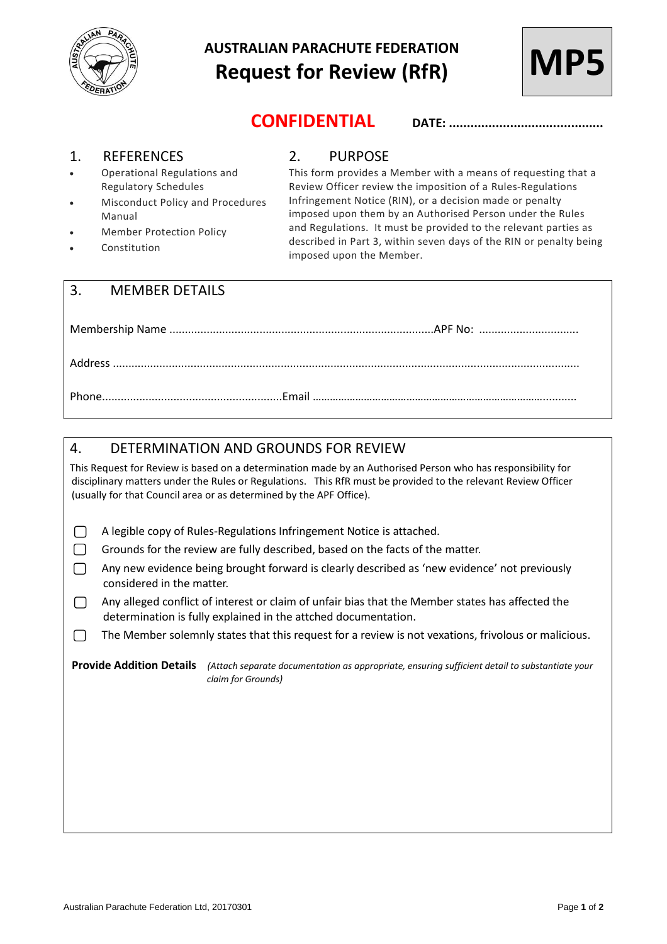

# **AUSTRALIAN PARACHUTE FEDERATION Request for Review (RfR)**



**CONFIDENTIAL DATE: ...........................................**

### 1. REFERENCES

- Operational Regulations and Regulatory Schedules
- Misconduct Policy and Procedures Manual
- Member Protection Policy
- Constitution

## 2. PURPOSE

This form provides a Member with a means of requesting that a Review Officer review the imposition of a Rules-Regulations Infringement Notice (RIN), or a decision made or penalty imposed upon them by an Authorised Person under the Rules and Regulations. It must be provided to the relevant parties as described in Part 3, within seven days of the RIN or penalty being imposed upon the Member.

|  | 3. MEMBER DETAILS |  |  |
|--|-------------------|--|--|
|  |                   |  |  |
|  |                   |  |  |
|  |                   |  |  |

## 4. DETERMINATION AND GROUNDS FOR REVIEW This Request for Review is based on a determination made by an Authorised Person who has responsibility for disciplinary matters under the Rules or Regulations. This RfR must be provided to the relevant Review Officer (usually for that Council area or as determined by the APF Office).  $\Box$ A legible copy of Rules-Regulations Infringement Notice is attached. П Grounds for the review are fully described, based on the facts of the matter.  $\Box$ Any new evidence being brought forward is clearly described as 'new evidence' not previously considered in the matter. Any alleged conflict of interest or claim of unfair bias that the Member states has affected the  $\Box$ determination is fully explained in the attched documentation. The Member solemnly states that this request for a review is not vexations, frivolous or malicious. ∩ **Provide Addition Details** *(Attach separate documentation as appropriate, ensuring sufficient detail to substantiate your claim for Grounds)*